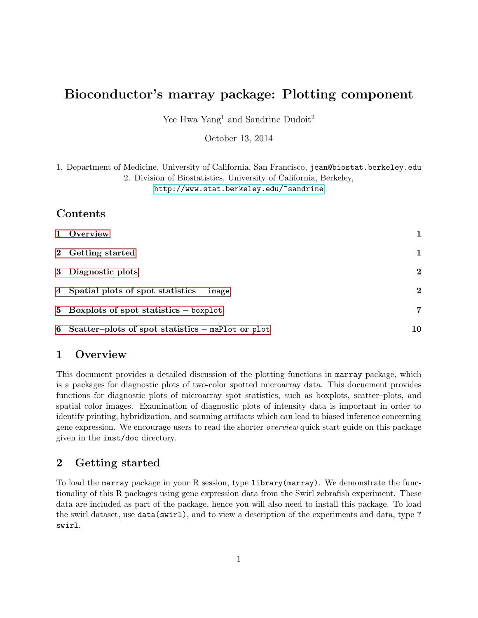# Bioconductor's marray package: Plotting component

Yee Hwa Yang<sup>1</sup> and Sandrine Dudoit<sup>2</sup>

October 13, 2014

1. Department of Medicine, University of California, San Francisco, jean@biostat.berkeley.edu 2. Division of Biostatistics, University of California, Berkeley, <http://www.stat.berkeley.edu/~sandrine>

# Contents

| 1 Overview                                            | 1        |
|-------------------------------------------------------|----------|
| 2 Getting started                                     | 1        |
| 3 Diagnostic plots                                    | $\bf{2}$ |
| 4 Spatial plots of spot statistics $-$ image          | $\bf{2}$ |
| 5 Boxplots of spot statistics $-$ boxplot             | 7        |
| 6 Scatter-plots of spot statistics $-$ maPlot or plot | 10       |

#### <span id="page-0-0"></span>1 Overview

This document provides a detailed discussion of the plotting functions in marray package, which is a packages for diagnostic plots of two-color spotted microarray data. This docuement provides functions for diagnostic plots of microarray spot statistics, such as boxplots, scatter–plots, and spatial color images. Examination of diagnostic plots of intensity data is important in order to identify printing, hybridization, and scanning artifacts which can lead to biased inference concerning gene expression. We encourage users to read the shorter overview quick start guide on this package given in the inst/doc directory.

# <span id="page-0-1"></span>2 Getting started

To load the marray package in your R session, type library(marray). We demonstrate the functionality of this R packages using gene expression data from the Swirl zebrafish experiment. These data are included as part of the package, hence you will also need to install this package. To load the swirl dataset, use data(swirl), and to view a description of the experiments and data, type ? swirl.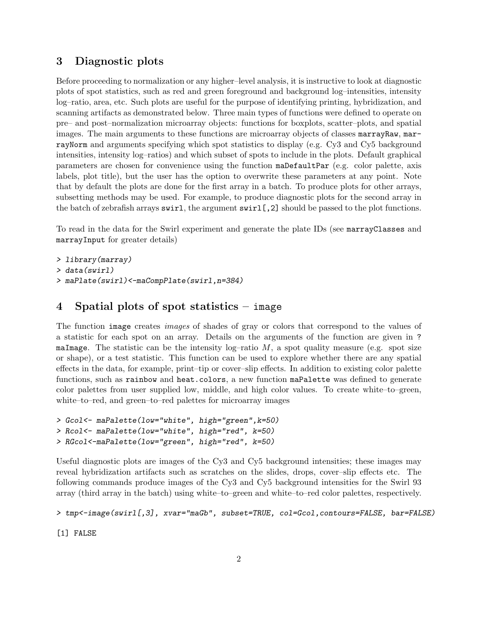## <span id="page-1-0"></span>3 Diagnostic plots

Before proceeding to normalization or any higher–level analysis, it is instructive to look at diagnostic plots of spot statistics, such as red and green foreground and background log–intensities, intensity log–ratio, area, etc. Such plots are useful for the purpose of identifying printing, hybridization, and scanning artifacts as demonstrated below. Three main types of functions were defined to operate on pre– and post–normalization microarray objects: functions for boxplots, scatter–plots, and spatial images. The main arguments to these functions are microarray objects of classes marrayRaw, marrayNorm and arguments specifying which spot statistics to display (e.g. Cy3 and Cy5 background intensities, intensity log–ratios) and which subset of spots to include in the plots. Default graphical parameters are chosen for convenience using the function maDefaultPar (e.g. color palette, axis labels, plot title), but the user has the option to overwrite these parameters at any point. Note that by default the plots are done for the first array in a batch. To produce plots for other arrays, subsetting methods may be used. For example, to produce diagnostic plots for the second array in the batch of zebrafish arrays swirl, the argument swirl[,2] should be passed to the plot functions.

To read in the data for the Swirl experiment and generate the plate IDs (see marrayClasses and marrayInput for greater details)

```
> library(marray)
> data(swirl)
> maPlate(swirl)<-maCompPlate(swirl,n=384)
```
# <span id="page-1-1"></span>4 Spatial plots of spot statistics – image

The function image creates images of shades of gray or colors that correspond to the values of a statistic for each spot on an array. Details on the arguments of the function are given in ? maImage. The statistic can be the intensity log-ratio  $M$ , a spot quality measure (e.g. spot size or shape), or a test statistic. This function can be used to explore whether there are any spatial effects in the data, for example, print–tip or cover–slip effects. In addition to existing color palette functions, such as rainbow and heat.colors, a new function maPalette was defined to generate color palettes from user supplied low, middle, and high color values. To create white–to–green, white–to–red, and green–to–red palettes for microarray images

```
> Gcol<- maPalette(low="white", high="green",k=50)
> Rcol<- maPalette(low="white", high="red", k=50)
> RGcol<-maPalette(low="green", high="red", k=50)
```
Useful diagnostic plots are images of the Cy3 and Cy5 background intensities; these images may reveal hybridization artifacts such as scratches on the slides, drops, cover–slip effects etc. The following commands produce images of the Cy3 and Cy5 background intensities for the Swirl 93 array (third array in the batch) using white–to–green and white–to–red color palettes, respectively.

```
> tmp<-image(swirl[,3], xvar="maGb", subset=TRUE, col=Gcol,contours=FALSE, bar=FALSE)
```
[1] FALSE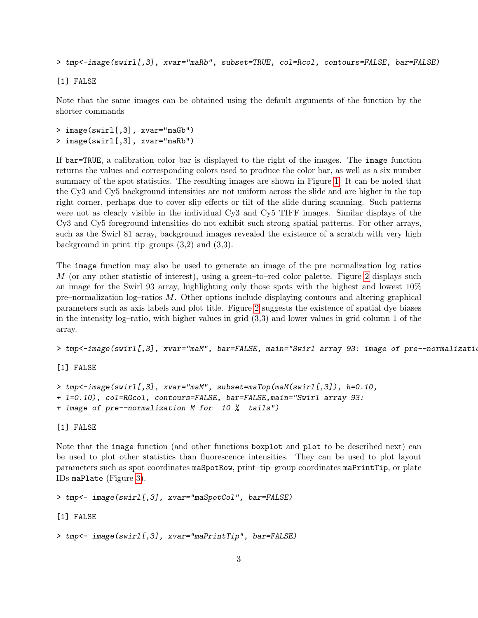> tmp<-image(swirl[,3], xvar="maRb", subset=TRUE, col=Rcol, contours=FALSE, bar=FALSE)

[1] FALSE

Note that the same images can be obtained using the default arguments of the function by the shorter commands

> image(swirl[,3], xvar="maGb") > image(swirl[,3], xvar="maRb")

If bar=TRUE, a calibration color bar is displayed to the right of the images. The image function returns the values and corresponding colors used to produce the color bar, as well as a six number summary of the spot statistics. The resulting images are shown in Figure [1.](#page-4-0) It can be noted that the Cy3 and Cy5 background intensities are not uniform across the slide and are higher in the top right corner, perhaps due to cover slip effects or tilt of the slide during scanning. Such patterns were not as clearly visible in the individual Cy3 and Cy5 TIFF images. Similar displays of the Cy3 and Cy5 foreground intensities do not exhibit such strong spatial patterns. For other arrays, such as the Swirl 81 array, background images revealed the existence of a scratch with very high background in print–tip–groups (3,2) and (3,3).

The image function may also be used to generate an image of the pre–normalization log–ratios M (or any other statistic of interest), using a green–to–red color palette. Figure [2](#page-4-1) displays such an image for the Swirl 93 array, highlighting only those spots with the highest and lowest 10% pre–normalization log–ratios M. Other options include displaying contours and altering graphical parameters such as axis labels and plot title. Figure [2](#page-4-1) suggests the existence of spatial dye biases in the intensity log–ratio, with higher values in grid (3,3) and lower values in grid column 1 of the array.

> tmp<-image(swirl[,3], xvar="maM", bar=FALSE, main="Swirl array 93: image of pre--normalization

[1] FALSE

```
> tmp<-image(swirl[,3], xvar="maM", subset=maTop(maM(swirl[,3]), h=0.10,
+ l=0.10), col=RGcol, contours=FALSE, bar=FALSE,main="Swirl array 93:
+ image of pre--normalization M for 10 % tails")
```
[1] FALSE

Note that the image function (and other functions boxplot and plot to be described next) can be used to plot other statistics than fluorescence intensities. They can be used to plot layout parameters such as spot coordinates maSpotRow, print–tip–group coordinates maPrintTip, or plate IDs maPlate (Figure [3\)](#page-5-0).

```
> tmp<- image(swirl[,3], xvar="maSpotCol", bar=FALSE)
```
[1] FALSE

```
> tmp<- image(swirl[,3], xvar="maPrintTip", bar=FALSE)
```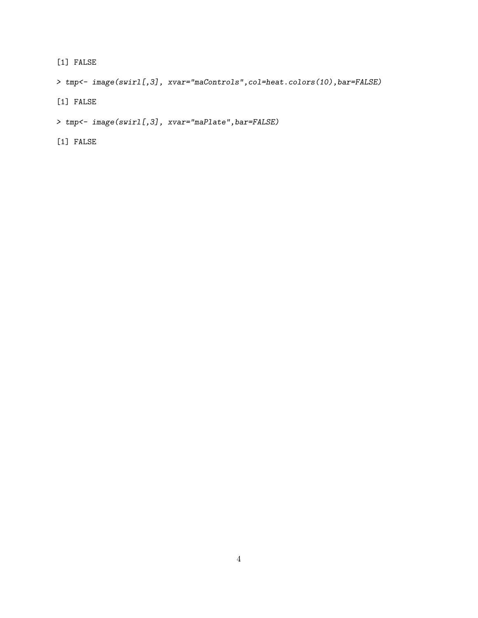[1] FALSE

> tmp<- image(swirl[,3], xvar="maControls",col=heat.colors(10),bar=FALSE)

- [1] FALSE
- > tmp<- image(swirl[,3], xvar="maPlate",bar=FALSE)
- [1] FALSE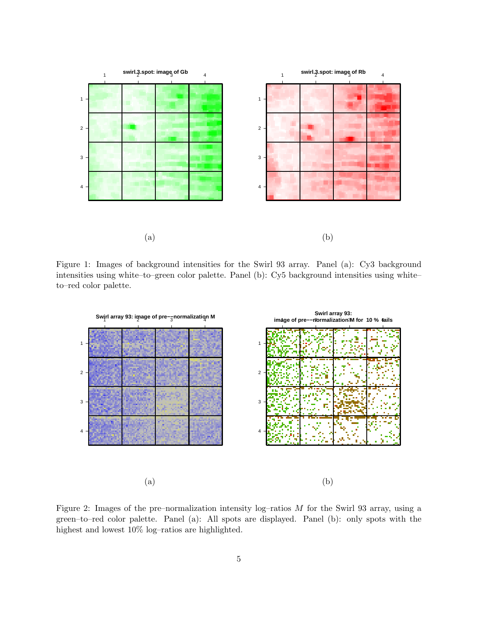

<span id="page-4-0"></span>Figure 1: Images of background intensities for the Swirl 93 array. Panel (a): Cy3 background intensities using white–to–green color palette. Panel (b): Cy5 background intensities using white– to–red color palette.



<span id="page-4-1"></span>Figure 2: Images of the pre–normalization intensity log–ratios M for the Swirl 93 array, using a green–to–red color palette. Panel (a): All spots are displayed. Panel (b): only spots with the highest and lowest 10% log–ratios are highlighted.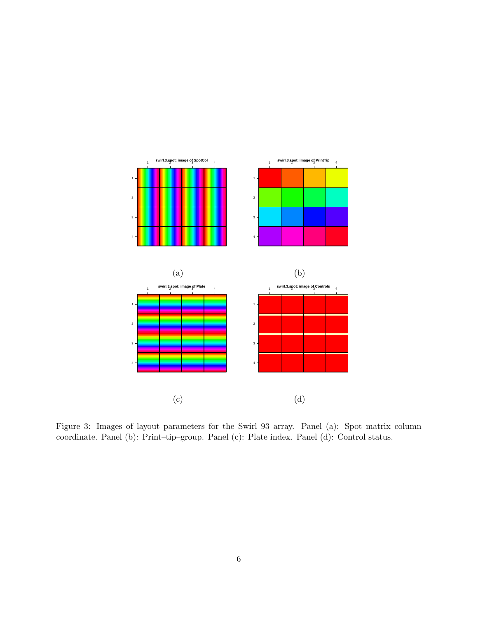

<span id="page-5-0"></span>Figure 3: Images of layout parameters for the Swirl 93 array. Panel (a): Spot matrix column coordinate. Panel (b): Print–tip–group. Panel (c): Plate index. Panel (d): Control status.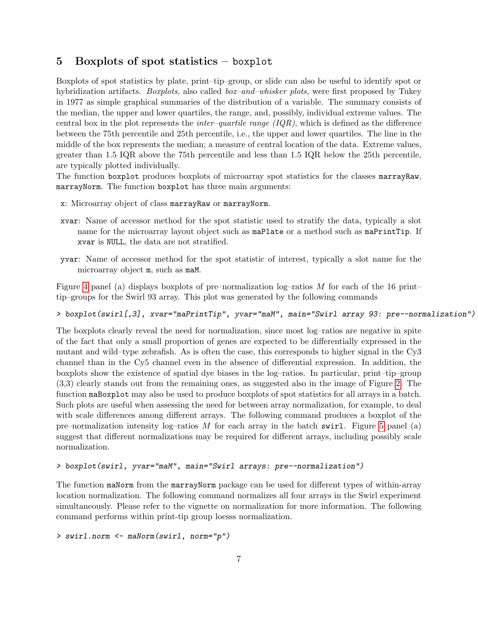# <span id="page-6-0"></span>5 Boxplots of spot statistics – boxplot

Boxplots of spot statistics by plate, print–tip–group, or slide can also be useful to identify spot or hybridization artifacts. *Boxplots*, also called *box–and–whisker plots*, were first proposed by Tukey in 1977 as simple graphical summaries of the distribution of a variable. The summary consists of the median, the upper and lower quartiles, the range, and, possibly, individual extreme values. The central box in the plot represents the *inter-quartile range (IQR)*, which is defined as the difference between the 75th percentile and 25th percentile, i.e., the upper and lower quartiles. The line in the middle of the box represents the median; a measure of central location of the data. Extreme values, greater than 1.5 IQR above the 75th percentile and less than 1.5 IQR below the 25th percentile, are typically plotted individually.

The function boxplot produces boxplots of microarray spot statistics for the classes marrayRaw, marrayNorm. The function boxplot has three main arguments:

- x: Microarray object of class marrayRaw or marrayNorm.
- xvar: Name of accessor method for the spot statistic used to stratify the data, typically a slot name for the microarray layout object such as maPlate or a method such as maPrintTip. If xvar is NULL, the data are not stratified.
- yvar: Name of accessor method for the spot statistic of interest, typically a slot name for the microarray object m, such as maM.

Figure [4](#page-8-0) panel (a) displays boxplots of pre–normalization log–ratios  $M$  for each of the 16 print– tip–groups for the Swirl 93 array. This plot was generated by the following commands

> boxplot(swirl[,3], xvar="maPrintTip", yvar="maM", main="Swirl array 93: pre--normalization")

The boxplots clearly reveal the need for normalization, since most log–ratios are negative in spite of the fact that only a small proportion of genes are expected to be differentially expressed in the mutant and wild–type zebrafish. As is often the case, this corresponds to higher signal in the Cy3 channel than in the Cy5 channel even in the absence of differential expression. In addition, the boxplots show the existence of spatial dye biases in the log–ratios. In particular, print–tip–group (3,3) clearly stands out from the remaining ones, as suggested also in the image of Figure [2.](#page-4-1) The function maBoxplot may also be used to produce boxplots of spot statistics for all arrays in a batch. Such plots are useful when assessing the need for between array normalization, for example, to deal with scale differences among different arrays. The following command produces a boxplot of the pre–normalization intensity log–ratios M for each array in the batch swirl. Figure [5](#page-8-1) panel (a) suggest that different normalizations may be required for different arrays, including possibly scale normalization.

#### > boxplot(swirl, yvar="maM", main="Swirl arrays: pre--normalization")

The function maNorm from the marrayNorm package can be used for different types of within-array location normalization. The following command normalizes all four arrays in the Swirl experiment simultaneously. Please refer to the vignette on normalization for more information. The following command performs within print-tip group loesss normalization.

> swirl.norm <- maNorm(swirl, norm="p")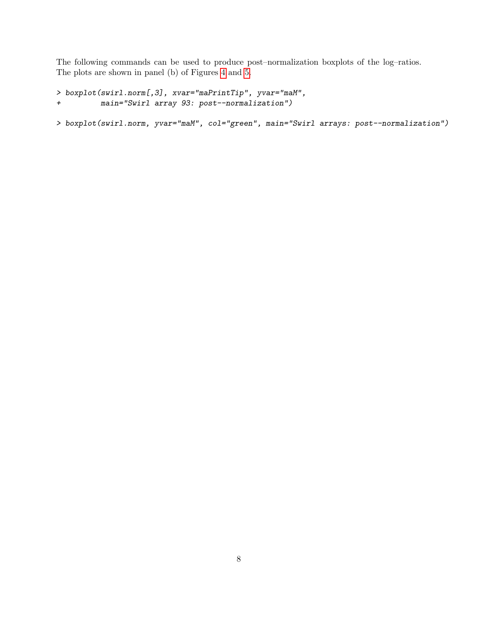The following commands can be used to produce post–normalization boxplots of the log–ratios. The plots are shown in panel (b) of Figures [4](#page-8-0) and [5.](#page-8-1)

```
> boxplot(swirl.norm[,3], xvar="maPrintTip", yvar="maM",
+ main="Swirl array 93: post--normalization")
```
> boxplot(swirl.norm, yvar="maM", col="green", main="Swirl arrays: post--normalization")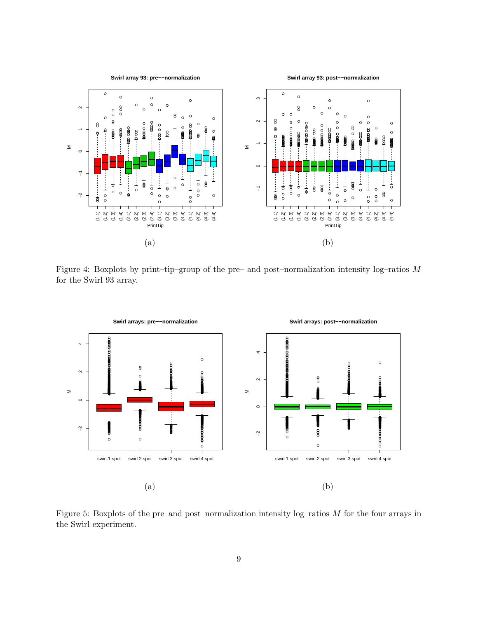

<span id="page-8-0"></span>Figure 4: Boxplots by print-tip-group of the pre- and post-normalization intensity log-ratios  $M$ for the Swirl 93 array.



<span id="page-8-1"></span>Figure 5: Boxplots of the pre-and post-normalization intensity  $log$ -ratios  $M$  for the four arrays in the Swirl experiment.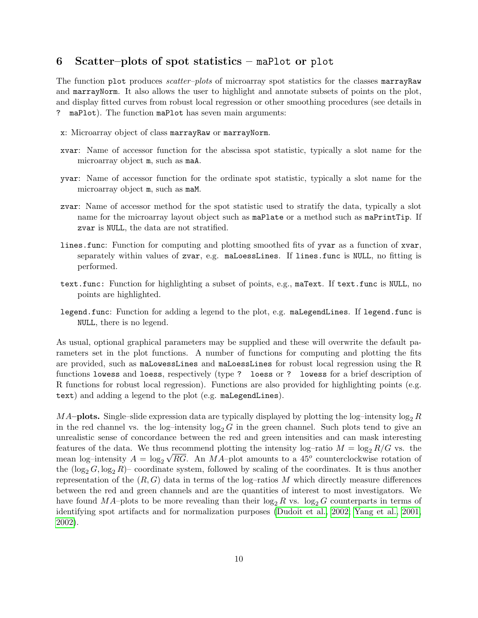### <span id="page-9-0"></span>6 Scatter–plots of spot statistics – maPlot or plot

The function plot produces *scatter-plots* of microarray spot statistics for the classes marrayRaw and marrayNorm. It also allows the user to highlight and annotate subsets of points on the plot, and display fitted curves from robust local regression or other smoothing procedures (see details in ? maPlot). The function maPlot has seven main arguments:

- x: Microarray object of class marrayRaw or marrayNorm.
- xvar: Name of accessor function for the abscissa spot statistic, typically a slot name for the microarray object m, such as maA.
- yvar: Name of accessor function for the ordinate spot statistic, typically a slot name for the microarray object m, such as maM.
- zvar: Name of accessor method for the spot statistic used to stratify the data, typically a slot name for the microarray layout object such as maPlate or a method such as maPrintTip. If zvar is NULL, the data are not stratified.
- lines.func: Function for computing and plotting smoothed fits of yvar as a function of xvar, separately within values of zvar, e.g. maLoessLines. If lines.func is NULL, no fitting is performed.
- text.func: Function for highlighting a subset of points, e.g., maText. If text.func is NULL, no points are highlighted.
- legend.func: Function for adding a legend to the plot, e.g. maLegendLines. If legend.func is NULL, there is no legend.

As usual, optional graphical parameters may be supplied and these will overwrite the default parameters set in the plot functions. A number of functions for computing and plotting the fits are provided, such as maLowessLines and maLoessLines for robust local regression using the R functions lowess and loess, respectively (type ? loess or ? lowess for a brief description of R functions for robust local regression). Functions are also provided for highlighting points (e.g. text) and adding a legend to the plot (e.g. maLegendLines).

MA–plots. Single–slide expression data are typically displayed by plotting the log–intensity  $\log_2 R$ in the red channel vs. the log-intensity  $\log_2 G$  in the green channel. Such plots tend to give an unrealistic sense of concordance between the red and green intensities and can mask interesting features of the data. We thus recommend plotting the intensity log-ratio  $M = \log_2 R/G$  vs. the mean log-intensity  $A = \log_2 \sqrt{RG}$ . An  $MA$ -plot amounts to a 45<sup>o</sup> counterclockwise rotation of the  $(\log_2 G, \log_2 R)$ – coordinate system, followed by scaling of the coordinates. It is thus another representation of the  $(R, G)$  data in terms of the log-ratios M which directly measure differences between the red and green channels and are the quantities of interest to most investigators. We have found MA–plots to be more revealing than their  $\log_2 R$  vs.  $\log_2 G$  counterparts in terms of identifying spot artifacts and for normalization purposes [\(Dudoit et al., 2002;](#page-11-0) [Yang et al., 2001,](#page-11-1) [2002\)](#page-11-2).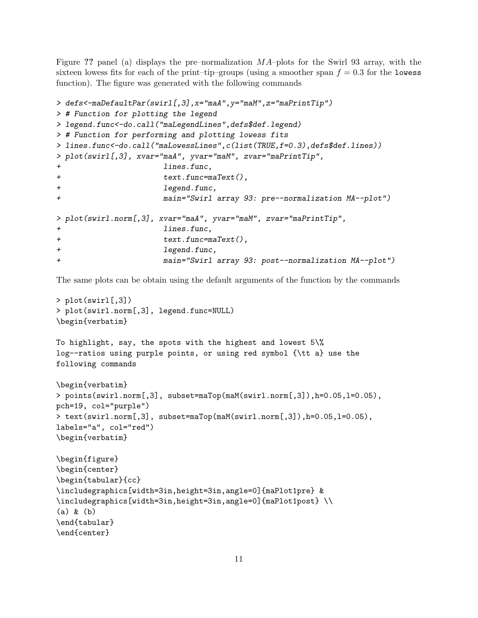Figure ?? panel (a) displays the pre–normalization MA–plots for the Swirl 93 array, with the sixteen lowess fits for each of the print–tip–groups (using a smoother span  $f = 0.3$  for the lowess function). The figure was generated with the following commands

```
> defs<-maDefaultPar(swirl[,3],x="maA",y="maM",z="maPrintTip")
> # Function for plotting the legend
> legend.func<-do.call("maLegendLines",defs$def.legend)
> # Function for performing and plotting lowess fits
> lines.func<-do.call("maLowessLines",c(list(TRUE,f=0.3),defs$def.lines))
> plot(swirl[,3], xvar="maA", yvar="maM", zvar="maPrintTip",
+ lines.func,
+ text.func=maText(),
+ legend.func,
+ main="Swirl array 93: pre--normalization MA--plot")
> plot(swirl.norm[,3], xvar="maA", yvar="maM", zvar="maPrintTip",
+ lines.func,
+ text.func=maText(),
+ legend.func,
+ main="Swirl array 93: post--normalization MA--plot")
```
The same plots can be obtain using the default arguments of the function by the commands

```
> plot(swirl[,3])
> plot(swirl.norm[,3], legend.func=NULL)
\begin{verbatim}
```

```
To highlight, say, the spots with the highest and lowest 5\%
log--ratios using purple points, or using red symbol {\tt a} use the
following commands
```

```
\begin{verbatim}
> points(swirl.norm[,3], subset=maTop(maM(swirl.norm[,3]),h=0.05,l=0.05),
pch=19, col="purple")
> text(swirl.norm[,3], subset=maTop(maM(swirl.norm[,3]),h=0.05,l=0.05),
labels="a", col="red")
\begin{verbatim}
```

```
\begin{figure}
\begin{center}
\begin{tabular}{cc}
\includegraphics[width=3in,height=3in,angle=0]{maPlot1pre} &
\includegraphics[width=3in,height=3in,angle=0]{maPlot1post} \\
(a) & (b)
\end{tabular}
\end{center}
```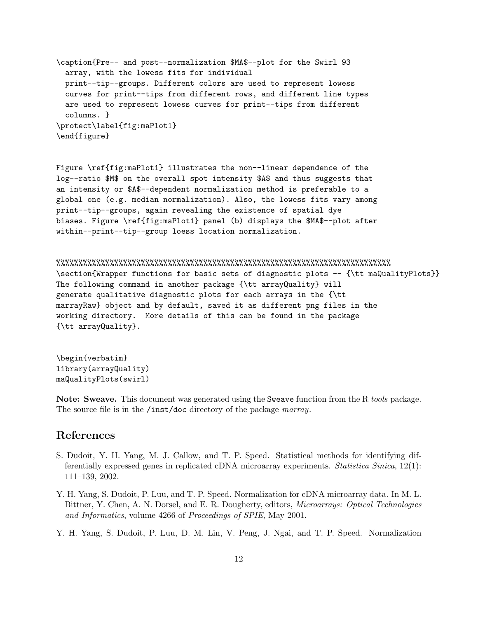\caption{Pre-- and post--normalization \$MA\$--plot for the Swirl 93 array, with the lowess fits for individual print--tip--groups. Different colors are used to represent lowess curves for print--tips from different rows, and different line types are used to represent lowess curves for print--tips from different columns. } \protect\label{fig:maPlot1} \end{figure}

Figure \ref{fig:maPlot1} illustrates the non--linear dependence of the log--ratio \$M\$ on the overall spot intensity \$A\$ and thus suggests that an intensity or \$A\$--dependent normalization method is preferable to a global one (e.g. median normalization). Also, the lowess fits vary among print--tip--groups, again revealing the existence of spatial dye biases. Figure \ref{fig:maPlot1} panel (b) displays the \$MA\$--plot after within--print--tip--group loess location normalization.

%%%%%%%%%%%%%%%%%%%%%%%%%%%%%%%%%%%%%%%%%%%%%%%%%%%%%%%%%%%%%%%%%%%%%%%%%%% \section{Wrapper functions for basic sets of diagnostic plots -- {\tt maQualityPlots}} The following command in another package {\tt arrayQuality} will generate qualitative diagnostic plots for each arrays in the {\tt marrayRaw} object and by default, saved it as different png files in the working directory. More details of this can be found in the package {\tt arrayQuality}.

\begin{verbatim} library(arrayQuality) maQualityPlots(swirl)

Note: Sweave. This document was generated using the Sweave function from the R tools package. The source file is in the /inst/doc directory of the package *marray*.

### References

- <span id="page-11-0"></span>S. Dudoit, Y. H. Yang, M. J. Callow, and T. P. Speed. Statistical methods for identifying differentially expressed genes in replicated cDNA microarray experiments. Statistica Sinica, 12(1): 111–139, 2002.
- <span id="page-11-1"></span>Y. H. Yang, S. Dudoit, P. Luu, and T. P. Speed. Normalization for cDNA microarray data. In M. L. Bittner, Y. Chen, A. N. Dorsel, and E. R. Dougherty, editors, Microarrays: Optical Technologies and Informatics, volume 4266 of Proceedings of SPIE, May 2001.
- <span id="page-11-2"></span>Y. H. Yang, S. Dudoit, P. Luu, D. M. Lin, V. Peng, J. Ngai, and T. P. Speed. Normalization